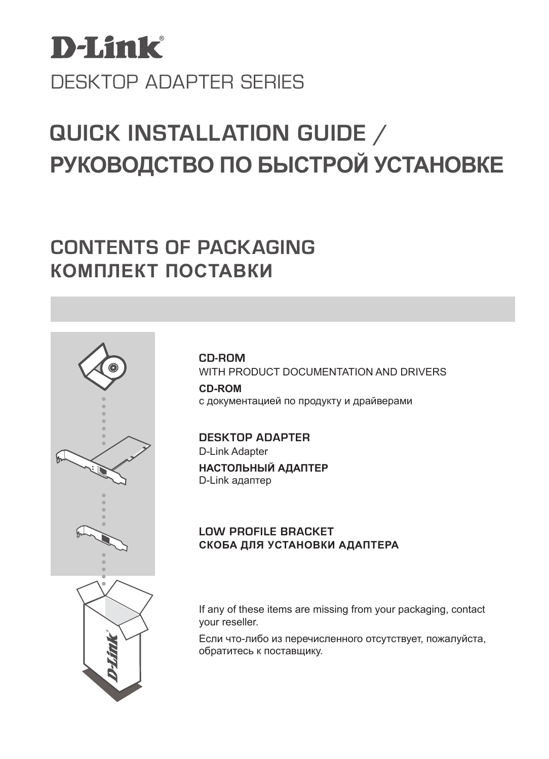

# **РУКОВОДСТВО ПО БЫСТРОЙ УСТАНОВКЕ QUICK INSTALLATION GUIDE /**

# **CONTENTS OF PACKAGING КОМПЛЕКТ ПОСТАВКИ**



**CD-ROM** WITH PRODUCT DOCUMENTATION AND DRIVERS

**CD-ROM** с документацией по продукту и драйверами

**DESKTOP ADAPTER** D-Link Adapter **НАСТОЛЬНЫЙ АДАПТЕР** D-Link адаптер

### **Low profile bracket СКОБА ДЛЯ УСТАНОВКИ АДАПТЕРА**

If any of these items are missing from your packaging, contact your reseller.

Если что-либо из перечисленного отсутствует, пожалуйста, обратитесь к поставщику.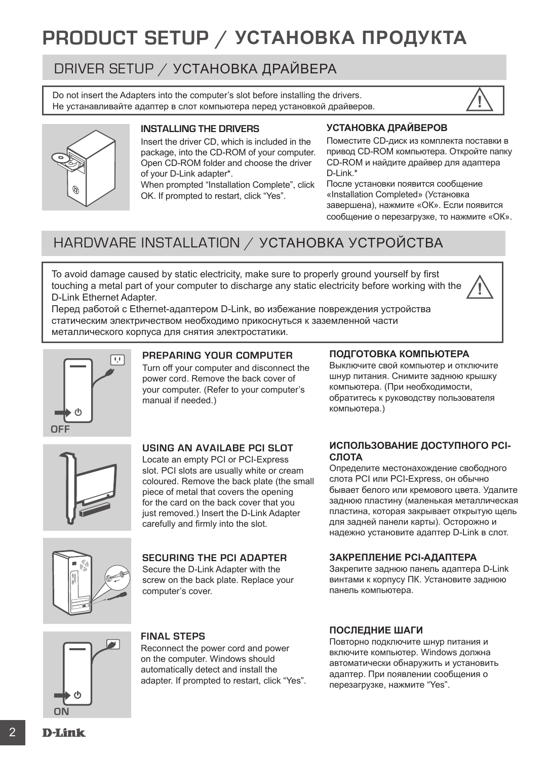# **PRODUCT SETUP / УСТАНОВКА ПРОДУКТА**

# DRIVER SETUP / УСТАНОВКА ДРАЙВЕРА

Do not insert the Adapters into the computer's slot before installing the drivers. Не устанавливайте адаптер в слот компьютера перед установкой драйверов. **!**





#### **installing the drivers**

Insert the driver CD, which is included in the package, into the CD-ROM of your computer. Open CD-ROM folder and choose the driver of your D-Link adapter\*.

When prompted "Installation Complete", click OK. If prompted to restart, click "Yes".

#### **УСТАНОВКА ДРАЙВЕРОВ**

Поместите CD-диск из комплекта поставки в привод CD-ROM компьютера. Откройте папку CD-ROM и найдите драйвер для адаптера D-Link\*

После установки появится сообщение «Installation Completed» (Установка завершена), нажмите «ОК». Если появится сообщение о перезагрузке, то нажмите «ОК».

# HARDWARE INSTALLATION / УСТАНОВКА УСТРОЙСТВА

To avoid damage caused by static electricity, make sure to properly ground yourself by first touching a metal part of your computer to discharge any static electricity before working with the D-Link Ethernet Adapter.



Перед работой с Ethernet-адаптером D-Link, во избежание повреждения устройства статическим электричеством необходимо прикоснуться к заземленной части металлического корпуса для снятия электростатики.



#### **preparing your computer**

Turn off your computer and disconnect the power cord. Remove the back cover of your computer. (Refer to your computer's manual if needed.)

#### **ПОДГОТОВКА КОМПЬЮТЕРА**

Выключите свой компьютер и отключите шнур питания. Снимите заднюю крышку компьютера. (При необходимости, обратитесь к руководству пользователя компьютера.)



#### **using an availabe pci slot**

Locate an empty PCI or PCI-Express slot. PCI slots are usually white or cream coloured. Remove the back plate (the small piece of metal that covers the opening for the card on the back cover that you just removed.) Insert the D-Link Adapter carefully and firmly into the slot.

#### **securing the pci adapter**

Secure the D-Link Adapter with the screw on the back plate. Replace your computer's cover.

#### **ИСПОЛЬЗОВАНИЕ ДОСТУПНОГО PCI-СЛОТА**

Определите местонахождение свободного слота PCI или PCI-Express, он обычно бывает белого или кремового цвета. Удалите заднюю пластину (маленькая металлическая пластина, которая закрывает открытую щель для задней панели карты). Осторожно и надежно установите адаптер D-Link в слот.

#### **ЗАКРЕПЛЕНИЕ PCI-АДАПТЕРА**

Закрепите заднюю панель адаптера D-Link винтами к корпусу ПК. Установите заднюю панель компьютера.



#### **final steps**

Reconnect the power cord and power on the computer. Windows should automatically detect and install the adapter. If prompted to restart, click "Yes".

#### **ПОСЛЕДНИЕ ШАГИ**

Повторно подключите шнур питания и включите компьютер. Windows должна автоматически обнаружить и установить адаптер. При появлении сообщения о перезагрузке, нажмите "Yes".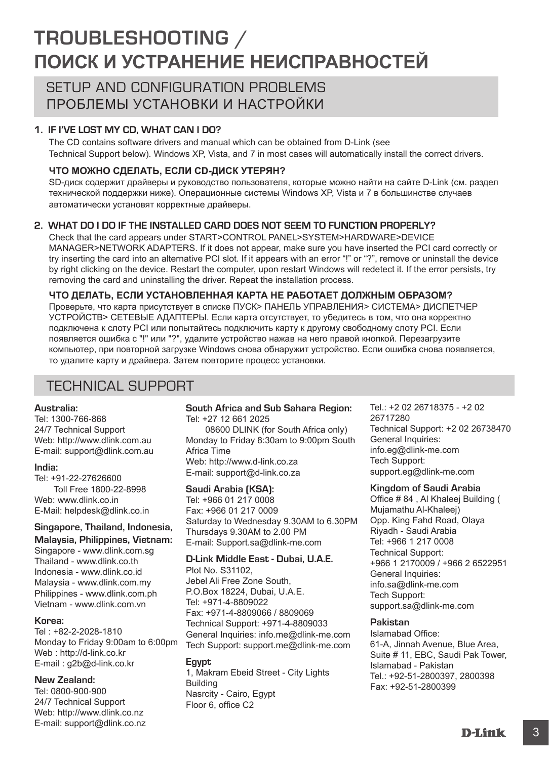# **TROUBLESHOOTING / ПОИСК И УСТРАНЕНИЕ НЕИСПРАВНОСТЕЙ**

## SETUP AND CONFIGURATION PROBLEMS ПРОБЛЕМЫ УСТАНОВКИ И НАСТРОЙКИ

#### **1. If I've lost my CD, what can I do?**

The CD contains software drivers and manual which can be obtained from D-Link (see Technical Support below). Windows XP, Vista, and 7 in most cases will automatically install the correct drivers.

#### **ЧТО МОЖНО СДЕЛАТЬ, ЕСЛИ CD-ДИСК УТЕРЯН?**

SD-диск содержит драйверы и руководство пользователя, которые можно найти на сайте D-Link (см. раздел технической поддержки ниже). Операционные системы Windows XP, Vista и 7 в большинстве случаев автоматически установят корректные драйверы.

#### **2. What do I do if the installed card does not seem to function properly?**

Check that the card appears under START>CONTROL PANEL>SYSTEM>HARDWARE>DEVICE MANAGER>NETWORK ADAPTERS. If it does not appear, make sure you have inserted the PCI card correctly or try inserting the card into an alternative PCI slot. If it appears with an error "!" or "?", remove or uninstall the device by right clicking on the device. Restart the computer, upon restart Windows will redetect it. If the error persists, try removing the card and uninstalling the driver. Repeat the installation process.

#### **ЧТО ДЕЛАТЬ, ЕСЛИ УСТАНОВЛЕННАЯ КАРТА НЕ РАБОТАЕТ ДОЛЖНЫМ ОБРАЗОМ?**

Проверьте, что карта присутствует в списке ПУСК> ПАНЕЛЬ УПРАВЛЕНИЯ> СИСТЕМА> ДИСПЕТЧЕР УСТРОЙСТВ> СЕТЕВЫЕ АДАПТЕРЫ. Если карта отсутствует, то убедитесь в том, что она корректно подключена к слоту PCI или попытайтесь подключить карту к другому свободному слоту PCI. Если появляется ошибка с "!" или "?", удалите устройство нажав на него правой кнопкой. Перезагрузите компьютер, при повторной загрузке Windows снова обнаружит устройство. Если ошибка снова появляется, то удалите карту и драйвера. Затем повторите процесс установки.

## TECHNICAL SUPPORT

#### **Australia:**

Tel: 1300-766-868 24/7 Technical Support Web: http://www.dlink.com.au E-mail: support@dlink.com.au

#### **India:**

Tel: +91-22-27626600 Toll Free 1800-22-8998 Web: www.dlink.co.in E-Mail: helpdesk@dlink.co.in

#### **Singapore, Thailand, Indonesia, Malaysia, Philippines, Vietnam:**

Singapore - www.dlink.com.sg Thailand - www.dlink.co.th Indonesia - www.dlink.co.id Malaysia - www.dlink.com.my Philippines - www.dlink.com.ph Vietnam - www.dlink.com.vn

#### **Korea:**

Tel : +82-2-2028-1810 Monday to Friday 9:00am to 6:00pm Web : http://d-link.co.kr E-mail : g2b@d-link.co.kr

#### **New Zealand:**

Tel: 0800-900-900 24/7 Technical Support Web: http://www.dlink.co.nz E-mail: support@dlink.co.nz **South Africa and Sub Sahara Region:** Tel: +27 12 661 2025 08600 DLINK (for South Africa only) Monday to Friday 8:30am to 9:00pm South Africa Time Web: http://www.d-link.co.za E-mail: support@d-link.co.za

#### **Saudi Arabia (KSA):**

Tel: +966 01 217 0008 Fax: +966 01 217 0009 Saturday to Wednesday 9.30AM to 6.30PM Thursdays 9.30AM to 2.00 PM E-mail: Support.sa@dlink-me.com

#### **D-Link Middle East - Dubai, U.A.E.**

Plot No. S31102, Jebel Ali Free Zone South, P.O.Box 18224, Dubai, U.A.E. Tel: +971-4-8809022 Fax: +971-4-8809066 / 8809069 Technical Support: +971-4-8809033 General Inquiries: info.me@dlink-me.com Tech Support: support.me@dlink-me.com

#### **Egypt**

1, Makram Ebeid Street - City Lights Building Nasrcity - Cairo, Egypt Floor 6, office C2

Tel.: +2 02 26718375 - +2 02 26717280 Technical Support: +2 02 26738470 General Inquiries: info.eg@dlink-me.com Tech Support: support.eg@dlink-me.com

#### **Kingdom of Saudi Arabia**

Office # 84 , Al Khaleej Building ( Mujamathu Al-Khaleej) Opp. King Fahd Road, Olaya Riyadh - Saudi Arabia Tel: +966 1 217 0008 Technical Support: +966 1 2170009 / +966 2 6522951 General Inquiries: info.sa@dlink-me.com Tech Support: support.sa@dlink-me.com

#### **Pakistan**

Islamabad Office: 61-A, Jinnah Avenue, Blue Area, Suite # 11, EBC, Saudi Pak Tower, Islamabad - Pakistan Tel.: +92-51-2800397, 2800398 Fax: +92-51-2800399

3